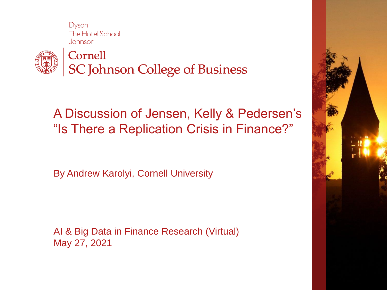



Cornell **SC Johnson College of Business** 

## A Discussion of Jensen, Kelly & Pedersen's "Is There a Replication Crisis in Finance?"

By Andrew Karolyi, Cornell University

AI & Big Data in Finance Research (Virtual) May 27, 2021

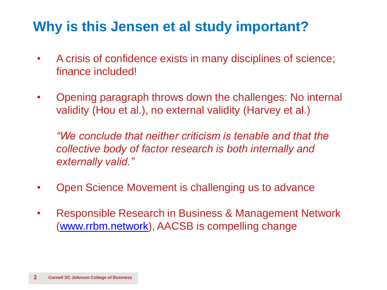## **Why is this Jensen et al study important?**

- A crisis of confidence exists in many disciplines of science; finance included!
- Opening paragraph throws down the challenges: No internal validity (Hou et al.), no external validity (Harvey et al.)

*"We conclude that neither criticism is tenable and that the collective body of factor research is both internally and externally valid."* 

- Open Science Movement is challenging us to advance
- Responsible Research in Business & Management Network [\(www.rrbm.network](http://www.rrbm.network/)), AACSB is compelling change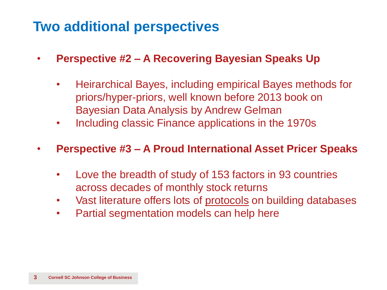## **Two additional perspectives**

- **Perspective #2 – A Recovering Bayesian Speaks Up**
	- Heirarchical Bayes, including empirical Bayes methods for priors/hyper-priors, well known before 2013 book on Bayesian Data Analysis by Andrew Gelman
	- Including classic Finance applications in the 1970s
- **Perspective #3 – A Proud International Asset Pricer Speaks**
	- Love the breadth of study of 153 factors in 93 countries across decades of monthly stock returns
	- Vast literature offers lots of protocols on building databases
	- Partial segmentation models can help here